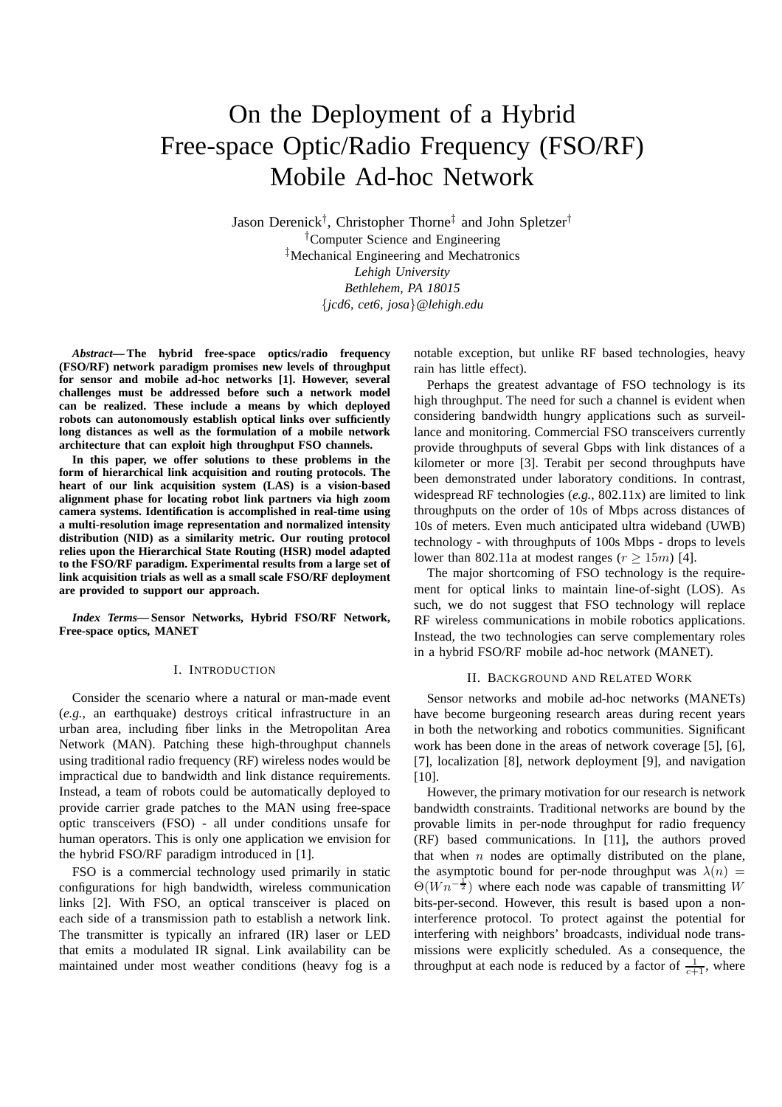# On the Deployment of a Hybrid Free-space Optic/Radio Frequency (FSO/RF) Mobile Ad-hoc Network

Jason Derenick† , Christopher Thorne‡ and John Spletzer† †Computer Science and Engineering ‡Mechanical Engineering and Mechatronics *Lehigh University Bethlehem, PA 18015* {*jcd6, cet6, josa*}*@lehigh.edu*

*Abstract***— The hybrid free-space optics/radio frequency (FSO/RF) network paradigm promises new levels of throughput for sensor and mobile ad-hoc networks [1]. However, several challenges must be addressed before such a network model can be realized. These include a means by which deployed robots can autonomously establish optical links over sufficiently long distances as well as the formulation of a mobile network architecture that can exploit high throughput FSO channels.**

**In this paper, we offer solutions to these problems in the form of hierarchical link acquisition and routing protocols. The heart of our link acquisition system (LAS) is a vision-based alignment phase for locating robot link partners via high zoom camera systems. Identification is accomplished in real-time using a multi-resolution image representation and normalized intensity distribution (NID) as a similarity metric. Our routing protocol relies upon the Hierarchical State Routing (HSR) model adapted to the FSO/RF paradigm. Experimental results from a large set of link acquisition trials as well as a small scale FSO/RF deployment are provided to support our approach.**

*Index Terms***— Sensor Networks, Hybrid FSO/RF Network, Free-space optics, MANET**

## I. INTRODUCTION

Consider the scenario where a natural or man-made event (*e.g.*, an earthquake) destroys critical infrastructure in an urban area, including fiber links in the Metropolitan Area Network (MAN). Patching these high-throughput channels using traditional radio frequency (RF) wireless nodes would be impractical due to bandwidth and link distance requirements. Instead, a team of robots could be automatically deployed to provide carrier grade patches to the MAN using free-space optic transceivers (FSO) - all under conditions unsafe for human operators. This is only one application we envision for the hybrid FSO/RF paradigm introduced in [1].

FSO is a commercial technology used primarily in static configurations for high bandwidth, wireless communication links [2]. With FSO, an optical transceiver is placed on each side of a transmission path to establish a network link. The transmitter is typically an infrared (IR) laser or LED that emits a modulated IR signal. Link availability can be maintained under most weather conditions (heavy fog is a notable exception, but unlike RF based technologies, heavy rain has little effect).

Perhaps the greatest advantage of FSO technology is its high throughput. The need for such a channel is evident when considering bandwidth hungry applications such as surveillance and monitoring. Commercial FSO transceivers currently provide throughputs of several Gbps with link distances of a kilometer or more [3]. Terabit per second throughputs have been demonstrated under laboratory conditions. In contrast, widespread RF technologies (*e.g.*, 802.11x) are limited to link throughputs on the order of 10s of Mbps across distances of 10s of meters. Even much anticipated ultra wideband (UWB) technology - with throughputs of 100s Mbps - drops to levels lower than 802.11a at modest ranges  $(r > 15m)$  [4].

The major shortcoming of FSO technology is the requirement for optical links to maintain line-of-sight (LOS). As such, we do not suggest that FSO technology will replace RF wireless communications in mobile robotics applications. Instead, the two technologies can serve complementary roles in a hybrid FSO/RF mobile ad-hoc network (MANET).

#### II. BACKGROUND AND RELATED WORK

Sensor networks and mobile ad-hoc networks (MANETs) have become burgeoning research areas during recent years in both the networking and robotics communities. Significant work has been done in the areas of network coverage [5], [6], [7], localization [8], network deployment [9], and navigation [10].

However, the primary motivation for our research is network bandwidth constraints. Traditional networks are bound by the provable limits in per-node throughput for radio frequency (RF) based communications. In [11], the authors proved that when  $n$  nodes are optimally distributed on the plane, the asymptotic bound for per-node throughput was  $\lambda(n)$  =  $\Theta(Wn^{-\frac{1}{2}})$  where each node was capable of transmitting W bits-per-second. However, this result is based upon a noninterference protocol. To protect against the potential for interfering with neighbors' broadcasts, individual node transmissions were explicitly scheduled. As a consequence, the throughput at each node is reduced by a factor of  $\frac{1}{c+1}$ , where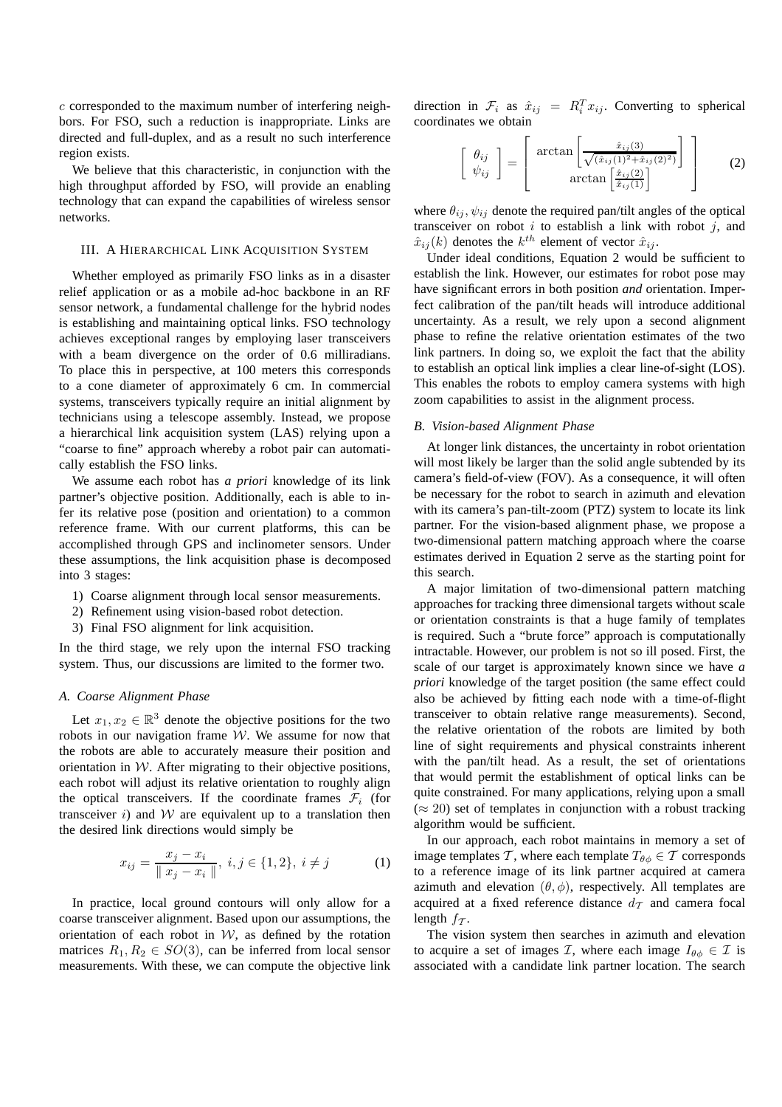c corresponded to the maximum number of interfering neighbors. For FSO, such a reduction is inappropriate. Links are directed and full-duplex, and as a result no such interference region exists.

We believe that this characteristic, in conjunction with the high throughput afforded by FSO, will provide an enabling technology that can expand the capabilities of wireless sensor networks.

## III. A HIERARCHICAL LINK ACQUISITION SYSTEM

Whether employed as primarily FSO links as in a disaster relief application or as a mobile ad-hoc backbone in an RF sensor network, a fundamental challenge for the hybrid nodes is establishing and maintaining optical links. FSO technology achieves exceptional ranges by employing laser transceivers with a beam divergence on the order of 0.6 milliradians. To place this in perspective, at 100 meters this corresponds to a cone diameter of approximately 6 cm. In commercial systems, transceivers typically require an initial alignment by technicians using a telescope assembly. Instead, we propose a hierarchical link acquisition system (LAS) relying upon a "coarse to fine" approach whereby a robot pair can automatically establish the FSO links.

We assume each robot has *a priori* knowledge of its link partner's objective position. Additionally, each is able to infer its relative pose (position and orientation) to a common reference frame. With our current platforms, this can be accomplished through GPS and inclinometer sensors. Under these assumptions, the link acquisition phase is decomposed into 3 stages:

- 1) Coarse alignment through local sensor measurements.
- 2) Refinement using vision-based robot detection.
- 3) Final FSO alignment for link acquisition.

In the third stage, we rely upon the internal FSO tracking system. Thus, our discussions are limited to the former two.

## *A. Coarse Alignment Phase*

Let  $x_1, x_2 \in \mathbb{R}^3$  denote the objective positions for the two robots in our navigation frame  $W$ . We assume for now that the robots are able to accurately measure their position and orientation in  $W$ . After migrating to their objective positions, each robot will adjust its relative orientation to roughly align the optical transceivers. If the coordinate frames  $\mathcal{F}_i$  (for transceiver  $i$ ) and  $W$  are equivalent up to a translation then the desired link directions would simply be

$$
x_{ij} = \frac{x_j - x_i}{\|x_j - x_i\|}, \ i, j \in \{1, 2\}, \ i \neq j \tag{1}
$$

In practice, local ground contours will only allow for a coarse transceiver alignment. Based upon our assumptions, the orientation of each robot in  $W$ , as defined by the rotation matrices  $R_1, R_2 \in SO(3)$ , can be inferred from local sensor measurements. With these, we can compute the objective link

direction in  $\mathcal{F}_i$  as  $\hat{x}_{ij} = R_i^T x_{ij}$ . Converting to spherical coordinates we obtain

$$
\begin{bmatrix}\n\theta_{ij} \\
\psi_{ij}\n\end{bmatrix} = \begin{bmatrix}\n\arctan\left[\frac{\hat{x}_{ij}(3)}{\sqrt{(\hat{x}_{ij}(1)^2 + \hat{x}_{ij}(2)^2)}}\right] \\
\arctan\left[\frac{\hat{x}_{ij}(2)}{\hat{x}_{ij}(1)}\right]\n\end{bmatrix}
$$
\n(2)

where  $\theta_{ij}$ ,  $\psi_{ij}$  denote the required pan/tilt angles of the optical transceiver on robot  $i$  to establish a link with robot  $j$ , and  $\hat{x}_{ij}(k)$  denotes the  $k^{th}$  element of vector  $\hat{x}_{ij}$ .

Under ideal conditions, Equation 2 would be sufficient to establish the link. However, our estimates for robot pose may have significant errors in both position *and* orientation. Imperfect calibration of the pan/tilt heads will introduce additional uncertainty. As a result, we rely upon a second alignment phase to refine the relative orientation estimates of the two link partners. In doing so, we exploit the fact that the ability to establish an optical link implies a clear line-of-sight (LOS). This enables the robots to employ camera systems with high zoom capabilities to assist in the alignment process.

### *B. Vision-based Alignment Phase*

At longer link distances, the uncertainty in robot orientation will most likely be larger than the solid angle subtended by its camera's field-of-view (FOV). As a consequence, it will often be necessary for the robot to search in azimuth and elevation with its camera's pan-tilt-zoom (PTZ) system to locate its link partner. For the vision-based alignment phase, we propose a two-dimensional pattern matching approach where the coarse estimates derived in Equation 2 serve as the starting point for this search.

A major limitation of two-dimensional pattern matching approaches for tracking three dimensional targets without scale or orientation constraints is that a huge family of templates is required. Such a "brute force" approach is computationally intractable. However, our problem is not so ill posed. First, the scale of our target is approximately known since we have *a priori* knowledge of the target position (the same effect could also be achieved by fitting each node with a time-of-flight transceiver to obtain relative range measurements). Second, the relative orientation of the robots are limited by both line of sight requirements and physical constraints inherent with the pan/tilt head. As a result, the set of orientations that would permit the establishment of optical links can be quite constrained. For many applications, relying upon a small  $(\approx 20)$  set of templates in conjunction with a robust tracking algorithm would be sufficient.

In our approach, each robot maintains in memory a set of image templates T, where each template  $T_{\theta\phi} \in \mathcal{T}$  corresponds to a reference image of its link partner acquired at camera azimuth and elevation  $(\theta, \phi)$ , respectively. All templates are acquired at a fixed reference distance  $d_{\mathcal{T}}$  and camera focal length  $f_{\tau}$ .

The vision system then searches in azimuth and elevation to acquire a set of images *I*, where each image  $I_{\theta\phi} \in \mathcal{I}$  is associated with a candidate link partner location. The search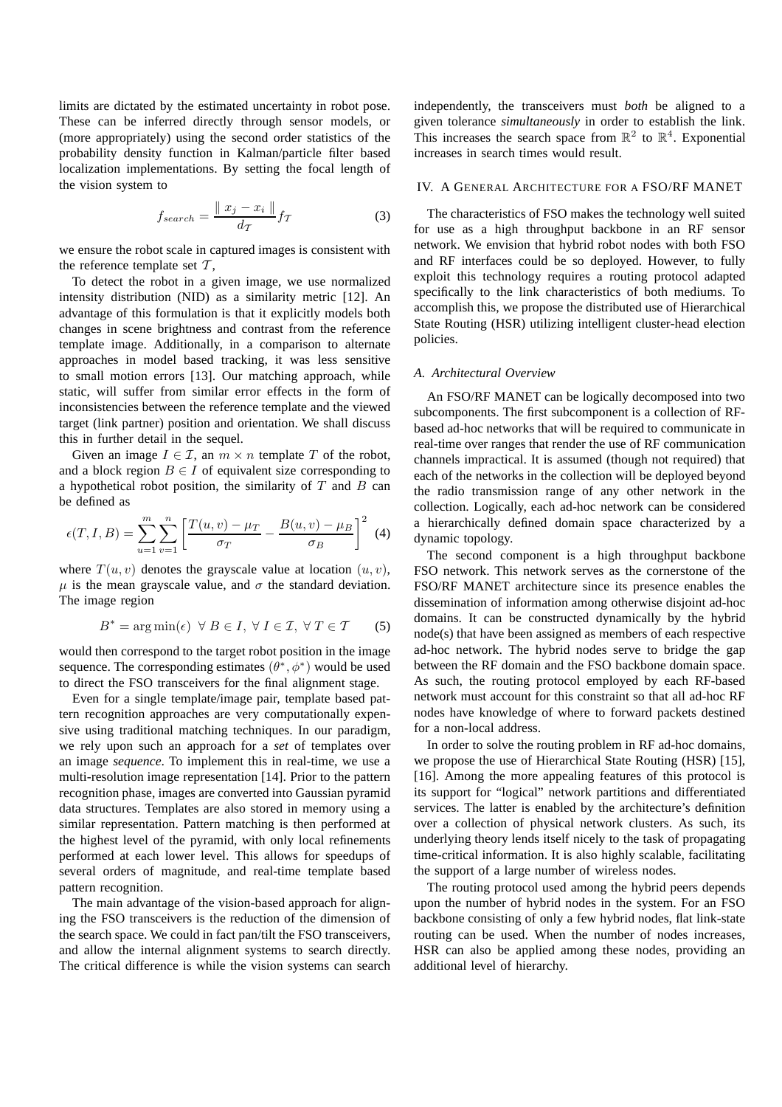limits are dictated by the estimated uncertainty in robot pose. These can be inferred directly through sensor models, or (more appropriately) using the second order statistics of the probability density function in Kalman/particle filter based localization implementations. By setting the focal length of the vision system to

$$
f_{search} = \frac{\parallel x_j - x_i \parallel}{d\tau} f\tau \tag{3}
$$

we ensure the robot scale in captured images is consistent with the reference template set  $\mathcal{T}$ ,

To detect the robot in a given image, we use normalized intensity distribution (NID) as a similarity metric [12]. An advantage of this formulation is that it explicitly models both changes in scene brightness and contrast from the reference template image. Additionally, in a comparison to alternate approaches in model based tracking, it was less sensitive to small motion errors [13]. Our matching approach, while static, will suffer from similar error effects in the form of inconsistencies between the reference template and the viewed target (link partner) position and orientation. We shall discuss this in further detail in the sequel.

Given an image  $I \in \mathcal{I}$ , an  $m \times n$  template T of the robot, and a block region  $B \in I$  of equivalent size corresponding to a hypothetical robot position, the similarity of  $T$  and  $B$  can be defined as

$$
\epsilon(T, I, B) = \sum_{u=1}^{m} \sum_{v=1}^{n} \left[ \frac{T(u, v) - \mu_T}{\sigma_T} - \frac{B(u, v) - \mu_B}{\sigma_B} \right]^2
$$
(4)

where  $T(u, v)$  denotes the grayscale value at location  $(u, v)$ ,  $\mu$  is the mean grayscale value, and  $\sigma$  the standard deviation. The image region

$$
B^* = \arg\min(\epsilon) \ \ \forall \ B \in I, \ \forall \ I \in \mathcal{I}, \ \forall \ T \in \mathcal{T} \tag{5}
$$

would then correspond to the target robot position in the image sequence. The corresponding estimates  $(\hat{\theta}^*, \phi^*)$  would be used to direct the FSO transceivers for the final alignment stage.

Even for a single template/image pair, template based pattern recognition approaches are very computationally expensive using traditional matching techniques. In our paradigm, we rely upon such an approach for a *set* of templates over an image *sequence*. To implement this in real-time, we use a multi-resolution image representation [14]. Prior to the pattern recognition phase, images are converted into Gaussian pyramid data structures. Templates are also stored in memory using a similar representation. Pattern matching is then performed at the highest level of the pyramid, with only local refinements performed at each lower level. This allows for speedups of several orders of magnitude, and real-time template based pattern recognition.

The main advantage of the vision-based approach for aligning the FSO transceivers is the reduction of the dimension of the search space. We could in fact pan/tilt the FSO transceivers, and allow the internal alignment systems to search directly. The critical difference is while the vision systems can search

independently, the transceivers must *both* be aligned to a given tolerance *simultaneously* in order to establish the link. This increases the search space from  $\mathbb{R}^2$  to  $\mathbb{R}^4$ . Exponential increases in search times would result.

## IV. A GENERAL ARCHITECTURE FOR A FSO/RF MANET

The characteristics of FSO makes the technology well suited for use as a high throughput backbone in an RF sensor network. We envision that hybrid robot nodes with both FSO and RF interfaces could be so deployed. However, to fully exploit this technology requires a routing protocol adapted specifically to the link characteristics of both mediums. To accomplish this, we propose the distributed use of Hierarchical State Routing (HSR) utilizing intelligent cluster-head election policies.

## *A. Architectural Overview*

An FSO/RF MANET can be logically decomposed into two subcomponents. The first subcomponent is a collection of RFbased ad-hoc networks that will be required to communicate in real-time over ranges that render the use of RF communication channels impractical. It is assumed (though not required) that each of the networks in the collection will be deployed beyond the radio transmission range of any other network in the collection. Logically, each ad-hoc network can be considered a hierarchically defined domain space characterized by a dynamic topology.

The second component is a high throughput backbone FSO network. This network serves as the cornerstone of the FSO/RF MANET architecture since its presence enables the dissemination of information among otherwise disjoint ad-hoc domains. It can be constructed dynamically by the hybrid node(s) that have been assigned as members of each respective ad-hoc network. The hybrid nodes serve to bridge the gap between the RF domain and the FSO backbone domain space. As such, the routing protocol employed by each RF-based network must account for this constraint so that all ad-hoc RF nodes have knowledge of where to forward packets destined for a non-local address.

In order to solve the routing problem in RF ad-hoc domains, we propose the use of Hierarchical State Routing (HSR) [15], [16]. Among the more appealing features of this protocol is its support for "logical" network partitions and differentiated services. The latter is enabled by the architecture's definition over a collection of physical network clusters. As such, its underlying theory lends itself nicely to the task of propagating time-critical information. It is also highly scalable, facilitating the support of a large number of wireless nodes.

The routing protocol used among the hybrid peers depends upon the number of hybrid nodes in the system. For an FSO backbone consisting of only a few hybrid nodes, flat link-state routing can be used. When the number of nodes increases, HSR can also be applied among these nodes, providing an additional level of hierarchy.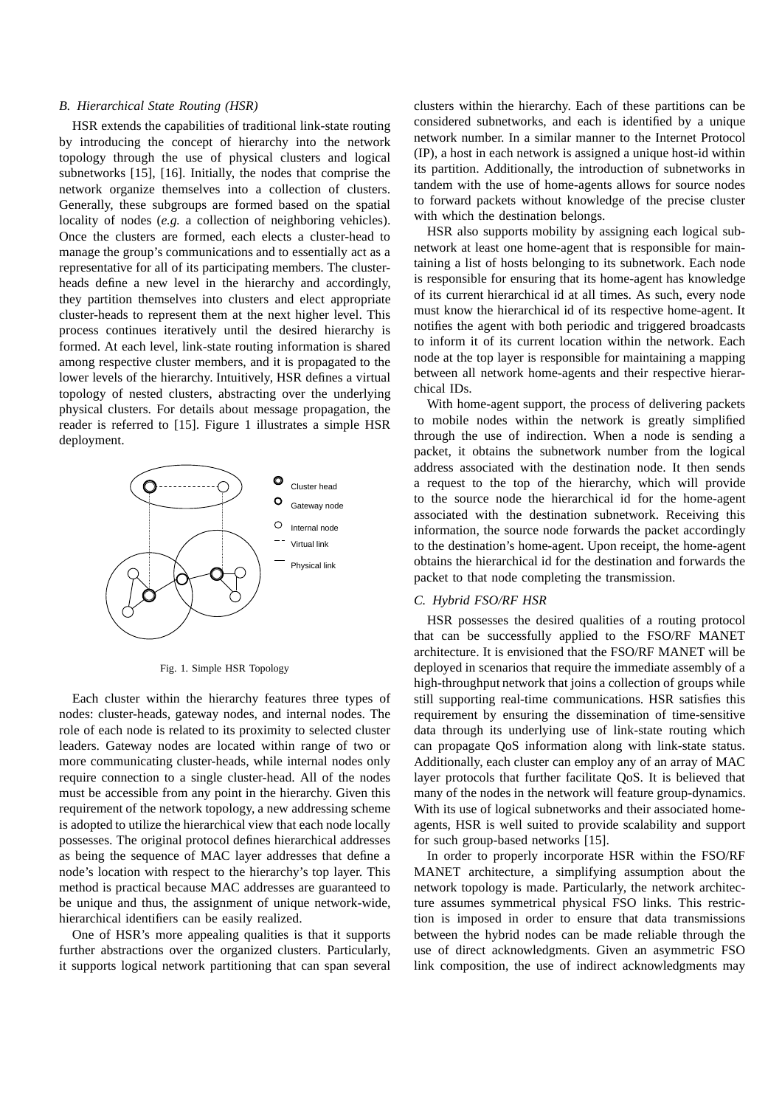## *B. Hierarchical State Routing (HSR)*

HSR extends the capabilities of traditional link-state routing by introducing the concept of hierarchy into the network topology through the use of physical clusters and logical subnetworks [15], [16]. Initially, the nodes that comprise the network organize themselves into a collection of clusters. Generally, these subgroups are formed based on the spatial locality of nodes (*e.g.* a collection of neighboring vehicles). Once the clusters are formed, each elects a cluster-head to manage the group's communications and to essentially act as a representative for all of its participating members. The clusterheads define a new level in the hierarchy and accordingly, they partition themselves into clusters and elect appropriate cluster-heads to represent them at the next higher level. This process continues iteratively until the desired hierarchy is formed. At each level, link-state routing information is shared among respective cluster members, and it is propagated to the lower levels of the hierarchy. Intuitively, HSR defines a virtual topology of nested clusters, abstracting over the underlying physical clusters. For details about message propagation, the reader is referred to [15]. Figure 1 illustrates a simple HSR deployment.



Fig. 1. Simple HSR Topology

Each cluster within the hierarchy features three types of nodes: cluster-heads, gateway nodes, and internal nodes. The role of each node is related to its proximity to selected cluster leaders. Gateway nodes are located within range of two or more communicating cluster-heads, while internal nodes only require connection to a single cluster-head. All of the nodes must be accessible from any point in the hierarchy. Given this requirement of the network topology, a new addressing scheme is adopted to utilize the hierarchical view that each node locally possesses. The original protocol defines hierarchical addresses as being the sequence of MAC layer addresses that define a node's location with respect to the hierarchy's top layer. This method is practical because MAC addresses are guaranteed to be unique and thus, the assignment of unique network-wide, hierarchical identifiers can be easily realized.

One of HSR's more appealing qualities is that it supports further abstractions over the organized clusters. Particularly, it supports logical network partitioning that can span several

clusters within the hierarchy. Each of these partitions can be considered subnetworks, and each is identified by a unique network number. In a similar manner to the Internet Protocol (IP), a host in each network is assigned a unique host-id within its partition. Additionally, the introduction of subnetworks in tandem with the use of home-agents allows for source nodes to forward packets without knowledge of the precise cluster with which the destination belongs.

HSR also supports mobility by assigning each logical subnetwork at least one home-agent that is responsible for maintaining a list of hosts belonging to its subnetwork. Each node is responsible for ensuring that its home-agent has knowledge of its current hierarchical id at all times. As such, every node must know the hierarchical id of its respective home-agent. It notifies the agent with both periodic and triggered broadcasts to inform it of its current location within the network. Each node at the top layer is responsible for maintaining a mapping between all network home-agents and their respective hierarchical IDs.

With home-agent support, the process of delivering packets to mobile nodes within the network is greatly simplified through the use of indirection. When a node is sending a packet, it obtains the subnetwork number from the logical address associated with the destination node. It then sends a request to the top of the hierarchy, which will provide to the source node the hierarchical id for the home-agent associated with the destination subnetwork. Receiving this information, the source node forwards the packet accordingly to the destination's home-agent. Upon receipt, the home-agent obtains the hierarchical id for the destination and forwards the packet to that node completing the transmission.

## *C. Hybrid FSO/RF HSR*

HSR possesses the desired qualities of a routing protocol that can be successfully applied to the FSO/RF MANET architecture. It is envisioned that the FSO/RF MANET will be deployed in scenarios that require the immediate assembly of a high-throughput network that joins a collection of groups while still supporting real-time communications. HSR satisfies this requirement by ensuring the dissemination of time-sensitive data through its underlying use of link-state routing which can propagate QoS information along with link-state status. Additionally, each cluster can employ any of an array of MAC layer protocols that further facilitate QoS. It is believed that many of the nodes in the network will feature group-dynamics. With its use of logical subnetworks and their associated homeagents, HSR is well suited to provide scalability and support for such group-based networks [15].

In order to properly incorporate HSR within the FSO/RF MANET architecture, a simplifying assumption about the network topology is made. Particularly, the network architecture assumes symmetrical physical FSO links. This restriction is imposed in order to ensure that data transmissions between the hybrid nodes can be made reliable through the use of direct acknowledgments. Given an asymmetric FSO link composition, the use of indirect acknowledgments may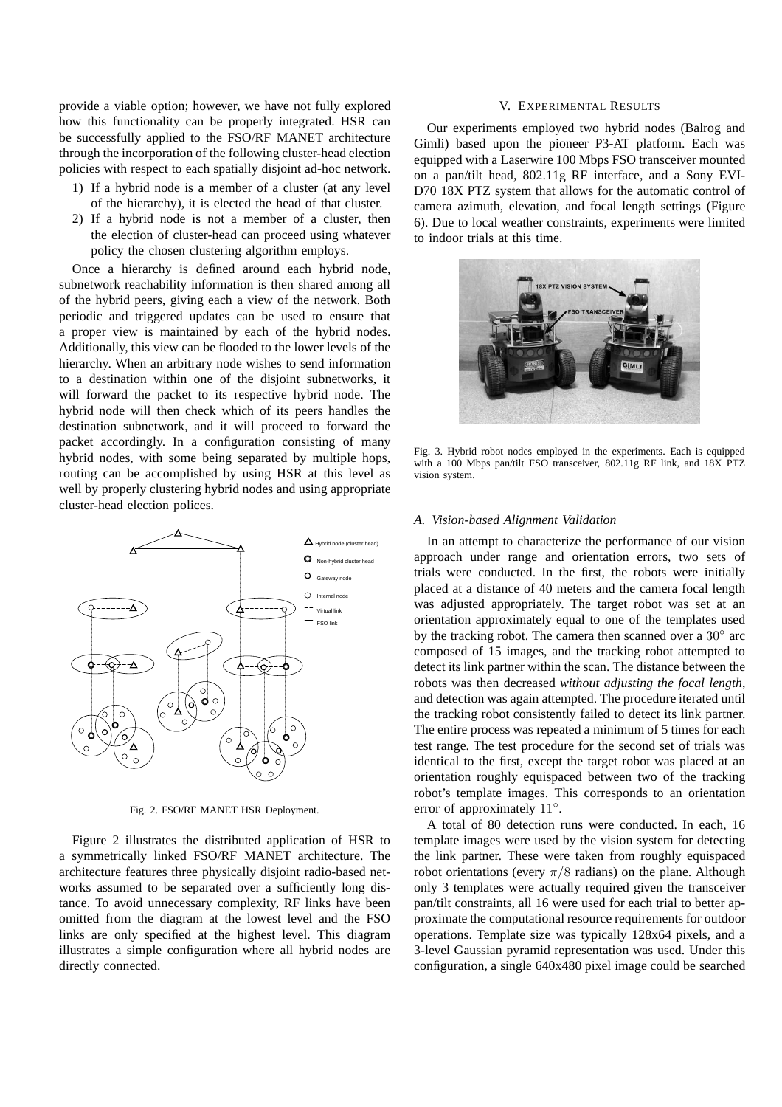provide a viable option; however, we have not fully explored how this functionality can be properly integrated. HSR can be successfully applied to the FSO/RF MANET architecture through the incorporation of the following cluster-head election policies with respect to each spatially disjoint ad-hoc network.

- 1) If a hybrid node is a member of a cluster (at any level of the hierarchy), it is elected the head of that cluster.
- 2) If a hybrid node is not a member of a cluster, then the election of cluster-head can proceed using whatever policy the chosen clustering algorithm employs.

Once a hierarchy is defined around each hybrid node, subnetwork reachability information is then shared among all of the hybrid peers, giving each a view of the network. Both periodic and triggered updates can be used to ensure that a proper view is maintained by each of the hybrid nodes. Additionally, this view can be flooded to the lower levels of the hierarchy. When an arbitrary node wishes to send information to a destination within one of the disjoint subnetworks, it will forward the packet to its respective hybrid node. The hybrid node will then check which of its peers handles the destination subnetwork, and it will proceed to forward the packet accordingly. In a configuration consisting of many hybrid nodes, with some being separated by multiple hops, routing can be accomplished by using HSR at this level as well by properly clustering hybrid nodes and using appropriate cluster-head election polices.



Fig. 2. FSO/RF MANET HSR Deployment.

Figure 2 illustrates the distributed application of HSR to a symmetrically linked FSO/RF MANET architecture. The architecture features three physically disjoint radio-based networks assumed to be separated over a sufficiently long distance. To avoid unnecessary complexity, RF links have been omitted from the diagram at the lowest level and the FSO links are only specified at the highest level. This diagram illustrates a simple configuration where all hybrid nodes are directly connected.

## V. EXPERIMENTAL RESULTS

Our experiments employed two hybrid nodes (Balrog and Gimli) based upon the pioneer P3-AT platform. Each was equipped with a Laserwire 100 Mbps FSO transceiver mounted on a pan/tilt head, 802.11g RF interface, and a Sony EVI-D70 18X PTZ system that allows for the automatic control of camera azimuth, elevation, and focal length settings (Figure 6). Due to local weather constraints, experiments were limited to indoor trials at this time.



Fig. 3. Hybrid robot nodes employed in the experiments. Each is equipped with a 100 Mbps pan/tilt FSO transceiver, 802.11g RF link, and 18X PTZ vision system.

#### *A. Vision-based Alignment Validation*

In an attempt to characterize the performance of our vision approach under range and orientation errors, two sets of trials were conducted. In the first, the robots were initially placed at a distance of 40 meters and the camera focal length was adjusted appropriately. The target robot was set at an orientation approximately equal to one of the templates used by the tracking robot. The camera then scanned over a  $30^\circ$  arc composed of 15 images, and the tracking robot attempted to detect its link partner within the scan. The distance between the robots was then decreased *without adjusting the focal length*, and detection was again attempted. The procedure iterated until the tracking robot consistently failed to detect its link partner. The entire process was repeated a minimum of 5 times for each test range. The test procedure for the second set of trials was identical to the first, except the target robot was placed at an orientation roughly equispaced between two of the tracking robot's template images. This corresponds to an orientation error of approximately 11°.

A total of 80 detection runs were conducted. In each, 16 template images were used by the vision system for detecting the link partner. These were taken from roughly equispaced robot orientations (every  $\pi/8$  radians) on the plane. Although only 3 templates were actually required given the transceiver pan/tilt constraints, all 16 were used for each trial to better approximate the computational resource requirements for outdoor operations. Template size was typically 128x64 pixels, and a 3-level Gaussian pyramid representation was used. Under this configuration, a single 640x480 pixel image could be searched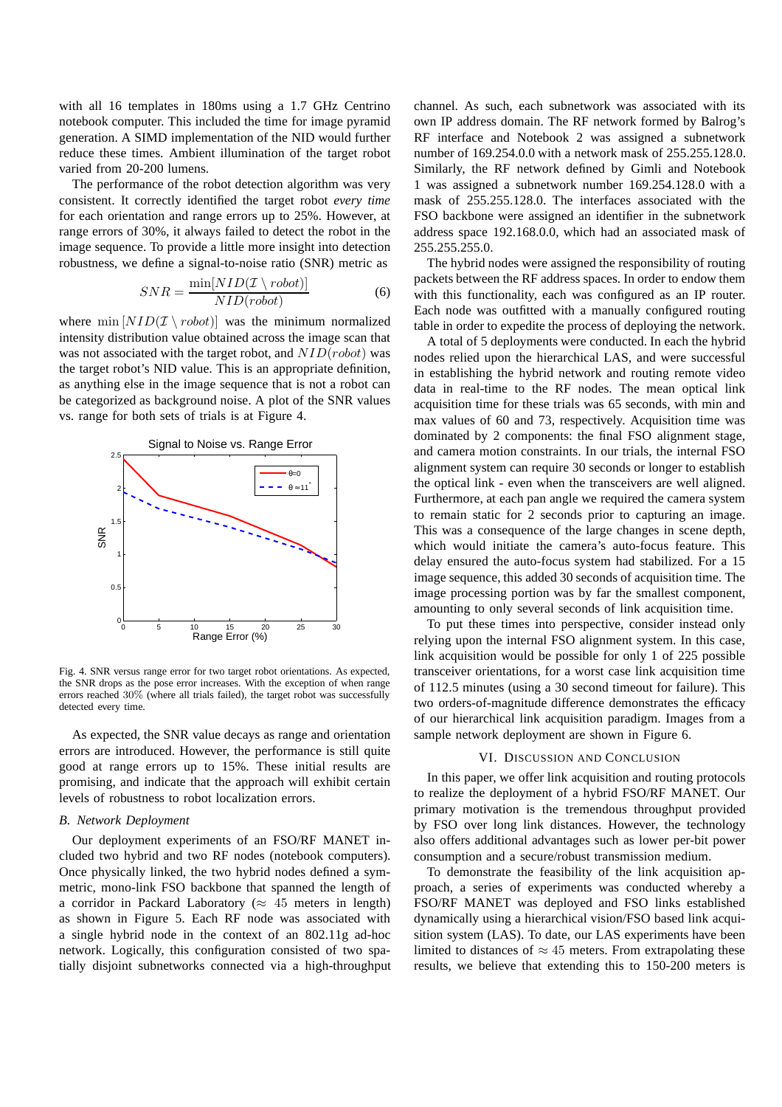with all 16 templates in 180ms using a 1.7 GHz Centrino notebook computer. This included the time for image pyramid generation. A SIMD implementation of the NID would further reduce these times. Ambient illumination of the target robot varied from 20-200 lumens.

The performance of the robot detection algorithm was very consistent. It correctly identified the target robot *every time* for each orientation and range errors up to 25%. However, at range errors of 30%, it always failed to detect the robot in the image sequence. To provide a little more insight into detection robustness, we define a signal-to-noise ratio (SNR) metric as

$$
SNR = \frac{\min[NID(\mathcal{I} \setminus robot)]}{NID(robot)} \tag{6}
$$

where  $\min[NID(\mathcal{I} \setminus robot)]$  was the minimum normalized intensity distribution value obtained across the image scan that was not associated with the target robot, and  $NID(robot)$  was the target robot's NID value. This is an appropriate definition, as anything else in the image sequence that is not a robot can be categorized as background noise. A plot of the SNR values vs. range for both sets of trials is at Figure 4.



Fig. 4. SNR versus range error for two target robot orientations. As expected, the SNR drops as the pose error increases. With the exception of when range errors reached 30% (where all trials failed), the target robot was successfully detected every time.

As expected, the SNR value decays as range and orientation errors are introduced. However, the performance is still quite good at range errors up to 15%. These initial results are promising, and indicate that the approach will exhibit certain levels of robustness to robot localization errors.

#### *B. Network Deployment*

Our deployment experiments of an FSO/RF MANET included two hybrid and two RF nodes (notebook computers). Once physically linked, the two hybrid nodes defined a symmetric, mono-link FSO backbone that spanned the length of a corridor in Packard Laboratory ( $\approx$  45 meters in length) as shown in Figure 5. Each RF node was associated with a single hybrid node in the context of an 802.11g ad-hoc network. Logically, this configuration consisted of two spatially disjoint subnetworks connected via a high-throughput

channel. As such, each subnetwork was associated with its own IP address domain. The RF network formed by Balrog's RF interface and Notebook 2 was assigned a subnetwork number of 169.254.0.0 with a network mask of 255.255.128.0. Similarly, the RF network defined by Gimli and Notebook 1 was assigned a subnetwork number 169.254.128.0 with a mask of 255.255.128.0. The interfaces associated with the FSO backbone were assigned an identifier in the subnetwork address space 192.168.0.0, which had an associated mask of 255.255.255.0.

The hybrid nodes were assigned the responsibility of routing packets between the RF address spaces. In order to endow them with this functionality, each was configured as an IP router. Each node was outfitted with a manually configured routing table in order to expedite the process of deploying the network.

A total of 5 deployments were conducted. In each the hybrid nodes relied upon the hierarchical LAS, and were successful in establishing the hybrid network and routing remote video data in real-time to the RF nodes. The mean optical link acquisition time for these trials was 65 seconds, with min and max values of 60 and 73, respectively. Acquisition time was dominated by 2 components: the final FSO alignment stage, and camera motion constraints. In our trials, the internal FSO alignment system can require 30 seconds or longer to establish the optical link - even when the transceivers are well aligned. Furthermore, at each pan angle we required the camera system to remain static for 2 seconds prior to capturing an image. This was a consequence of the large changes in scene depth, which would initiate the camera's auto-focus feature. This delay ensured the auto-focus system had stabilized. For a 15 image sequence, this added 30 seconds of acquisition time. The image processing portion was by far the smallest component, amounting to only several seconds of link acquisition time.

To put these times into perspective, consider instead only relying upon the internal FSO alignment system. In this case, link acquisition would be possible for only 1 of 225 possible transceiver orientations, for a worst case link acquisition time of 112.5 minutes (using a 30 second timeout for failure). This two orders-of-magnitude difference demonstrates the efficacy of our hierarchical link acquisition paradigm. Images from a sample network deployment are shown in Figure 6.

## VI. DISCUSSION AND CONCLUSION

In this paper, we offer link acquisition and routing protocols to realize the deployment of a hybrid FSO/RF MANET. Our primary motivation is the tremendous throughput provided by FSO over long link distances. However, the technology also offers additional advantages such as lower per-bit power consumption and a secure/robust transmission medium.

To demonstrate the feasibility of the link acquisition approach, a series of experiments was conducted whereby a FSO/RF MANET was deployed and FSO links established dynamically using a hierarchical vision/FSO based link acquisition system (LAS). To date, our LAS experiments have been limited to distances of  $\approx$  45 meters. From extrapolating these results, we believe that extending this to 150-200 meters is